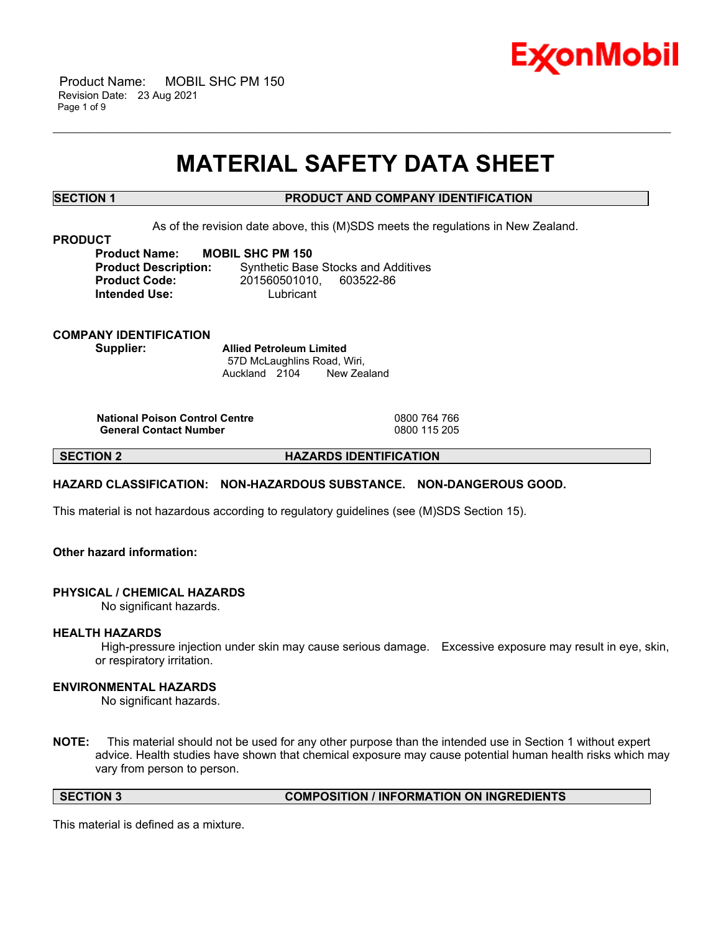

 Product Name: MOBIL SHC PM 150 Revision Date: 23 Aug 2021 Page 1 of 9

# **MATERIAL SAFETY DATA SHEET**

\_\_\_\_\_\_\_\_\_\_\_\_\_\_\_\_\_\_\_\_\_\_\_\_\_\_\_\_\_\_\_\_\_\_\_\_\_\_\_\_\_\_\_\_\_\_\_\_\_\_\_\_\_\_\_\_\_\_\_\_\_\_\_\_\_\_\_\_\_\_\_\_\_\_\_\_\_\_\_\_\_\_\_\_\_\_\_\_\_\_\_\_\_\_\_\_\_\_\_\_\_\_\_\_\_\_\_\_\_\_\_\_\_\_\_\_\_\_

# **SECTION 1 PRODUCT AND COMPANY IDENTIFICATION**

As of the revision date above, this (M)SDS meets the regulations in New Zealand.

#### **PRODUCT**

**Product Name: MOBIL SHC PM 150 Intended Use:** Lubricant

**Product Description:** Synthetic Base Stocks and Additives **Product Code:** 201560501010, 603522-86

# **COMPANY IDENTIFICATION Supplier: Allied Petroleum Limited**

57D McLaughlins Road, Wiri, Auckland 2104 New Zealand

**National Poison Control Centre** 0800 764 766 **General Contact Number** 

**SECTION 2 HAZARDS IDENTIFICATION**

# **HAZARD CLASSIFICATION: NON-HAZARDOUS SUBSTANCE. NON-DANGEROUS GOOD.**

This material is not hazardous according to regulatory guidelines (see (M)SDS Section 15).

# **Other hazard information:**

#### **PHYSICAL / CHEMICAL HAZARDS**

No significant hazards.

#### **HEALTH HAZARDS**

High-pressure injection under skin may cause serious damage. Excessive exposure may result in eye, skin, or respiratory irritation.

# **ENVIRONMENTAL HAZARDS**

No significant hazards.

**NOTE:** This material should not be used for any other purpose than the intended use in Section 1 without expert advice. Health studies have shown that chemical exposure may cause potential human health risks which may vary from person to person.

**SECTION 3 COMPOSITION / INFORMATION ON INGREDIENTS**

This material is defined as a mixture.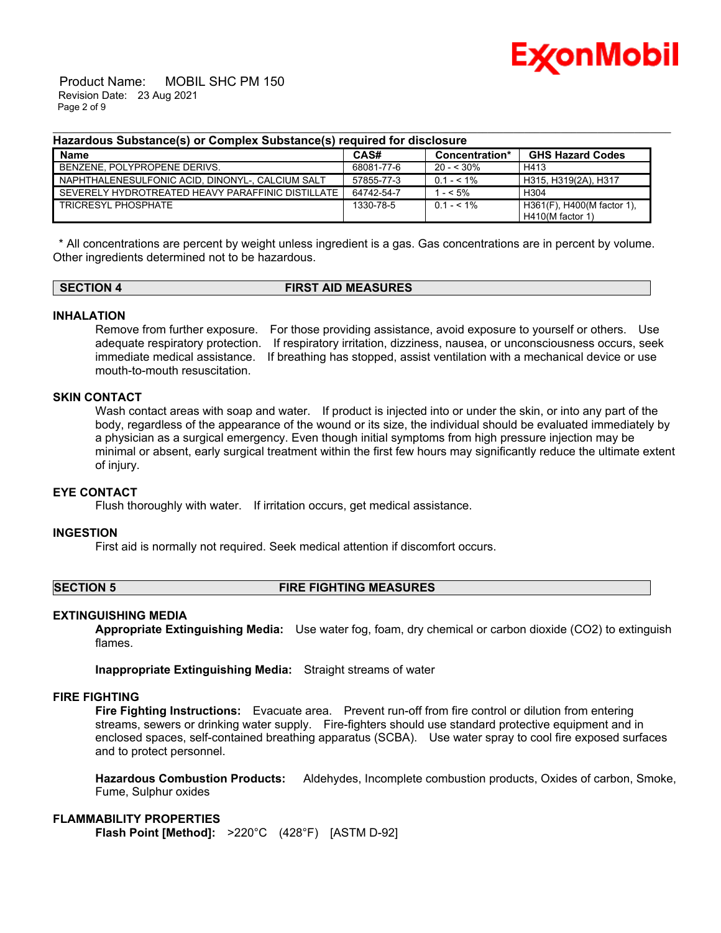

 Product Name: MOBIL SHC PM 150 Revision Date: 23 Aug 2021 Page 2 of 9

### **Hazardous Substance(s) or Complex Substance(s) required for disclosure**

| <b>Name</b>                                       | CAS#       | Concentration* | <b>GHS Hazard Codes</b>    |
|---------------------------------------------------|------------|----------------|----------------------------|
| BENZENE. POLYPROPENE DERIVS.                      | 68081-77-6 | $20 - 530\%$   | H413                       |
| NAPHTHALENESULFONIC ACID. DINONYL-, CALCIUM SALT  | 57855-77-3 | $0.1 - 5.1\%$  | H315. H319(2A). H317       |
| SEVERELY HYDROTREATED HEAVY PARAFFINIC DISTILLATE | 64742-54-7 | $- < 5\%$      | H304                       |
| TRICRESYL PHOSPHATE                               | 1330-78-5  | $0.1 - 5.1\%$  | H361(F), H400(M factor 1), |
|                                                   |            |                | H410(M factor 1)           |

\_\_\_\_\_\_\_\_\_\_\_\_\_\_\_\_\_\_\_\_\_\_\_\_\_\_\_\_\_\_\_\_\_\_\_\_\_\_\_\_\_\_\_\_\_\_\_\_\_\_\_\_\_\_\_\_\_\_\_\_\_\_\_\_\_\_\_\_\_\_\_\_\_\_\_\_\_\_\_\_\_\_\_\_\_\_\_\_\_\_\_\_\_\_\_\_\_\_\_\_\_\_\_\_\_\_\_\_\_\_\_\_\_\_\_\_\_\_

\* All concentrations are percent by weight unless ingredient is a gas. Gas concentrations are in percent by volume. Other ingredients determined not to be hazardous.

# **SECTION 4 FIRST AID MEASURES**

# **INHALATION**

Remove from further exposure. For those providing assistance, avoid exposure to yourself or others. Use adequate respiratory protection. If respiratory irritation, dizziness, nausea, or unconsciousness occurs, seek immediate medical assistance. If breathing has stopped, assist ventilation with a mechanical device or use mouth-to-mouth resuscitation.

# **SKIN CONTACT**

Wash contact areas with soap and water. If product is injected into or under the skin, or into any part of the body, regardless of the appearance of the wound or its size, the individual should be evaluated immediately by a physician as a surgical emergency. Even though initial symptoms from high pressure injection may be minimal or absent, early surgical treatment within the first few hours may significantly reduce the ultimate extent of injury.

### **EYE CONTACT**

Flush thoroughly with water. If irritation occurs, get medical assistance.

#### **INGESTION**

First aid is normally not required. Seek medical attention if discomfort occurs.

#### **SECTION 5 FIRE FIGHTING MEASURES**

# **EXTINGUISHING MEDIA**

**Appropriate Extinguishing Media:** Use water fog, foam, dry chemical or carbon dioxide (CO2) to extinguish flames.

**Inappropriate Extinguishing Media:** Straight streams of water

#### **FIRE FIGHTING**

**Fire Fighting Instructions:** Evacuate area. Prevent run-off from fire control or dilution from entering streams, sewers or drinking water supply. Fire-fighters should use standard protective equipment and in enclosed spaces, self-contained breathing apparatus (SCBA). Use water spray to cool fire exposed surfaces and to protect personnel.

**Hazardous Combustion Products:** Aldehydes, Incomplete combustion products, Oxides of carbon, Smoke, Fume, Sulphur oxides

# **FLAMMABILITY PROPERTIES**

**Flash Point [Method]:** >220°C (428°F) [ASTM D-92]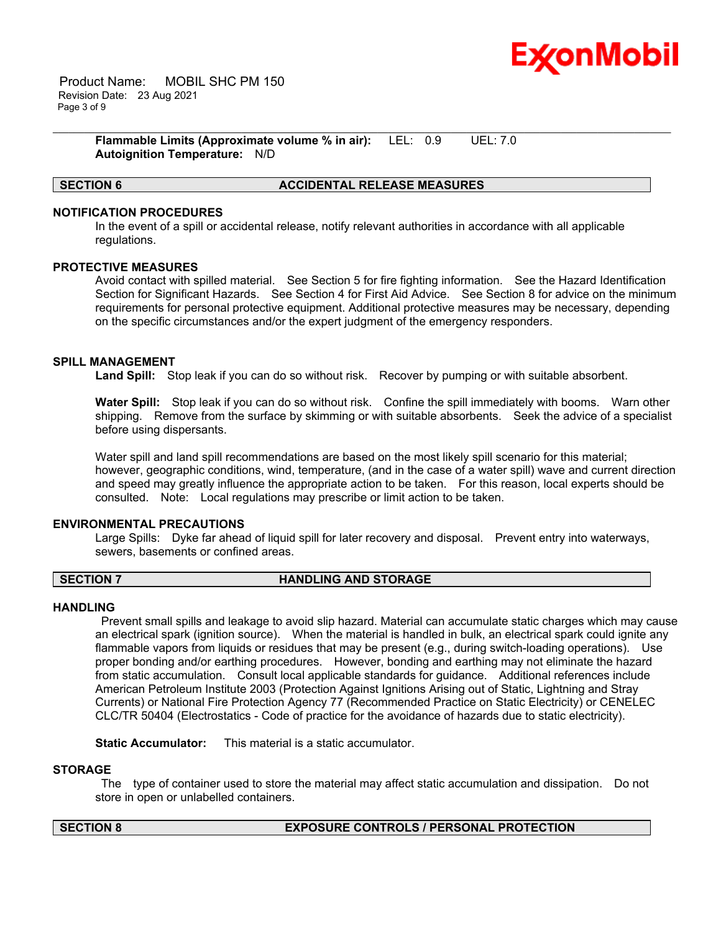

 Product Name: MOBIL SHC PM 150 Revision Date: 23 Aug 2021 Page 3 of 9

> **Flammable Limits (Approximate volume % in air):** LEL: 0.9 UEL: 7.0 **Autoignition Temperature:** N/D

# **SECTION 6 ACCIDENTAL RELEASE MEASURES**

# **NOTIFICATION PROCEDURES**

In the event of a spill or accidental release, notify relevant authorities in accordance with all applicable regulations.

\_\_\_\_\_\_\_\_\_\_\_\_\_\_\_\_\_\_\_\_\_\_\_\_\_\_\_\_\_\_\_\_\_\_\_\_\_\_\_\_\_\_\_\_\_\_\_\_\_\_\_\_\_\_\_\_\_\_\_\_\_\_\_\_\_\_\_\_\_\_\_\_\_\_\_\_\_\_\_\_\_\_\_\_\_\_\_\_\_\_\_\_\_\_\_\_\_\_\_\_\_\_\_\_\_\_\_\_\_\_\_\_\_\_\_\_\_\_

# **PROTECTIVE MEASURES**

Avoid contact with spilled material. See Section 5 for fire fighting information. See the Hazard Identification Section for Significant Hazards. See Section 4 for First Aid Advice. See Section 8 for advice on the minimum requirements for personal protective equipment. Additional protective measures may be necessary, depending on the specific circumstances and/or the expert judgment of the emergency responders.

# **SPILL MANAGEMENT**

**Land Spill:** Stop leak if you can do so without risk. Recover by pumping or with suitable absorbent.

**Water Spill:** Stop leak if you can do so without risk. Confine the spill immediately with booms. Warn other shipping. Remove from the surface by skimming or with suitable absorbents. Seek the advice of a specialist before using dispersants.

Water spill and land spill recommendations are based on the most likely spill scenario for this material; however, geographic conditions, wind, temperature, (and in the case of a water spill) wave and current direction and speed may greatly influence the appropriate action to be taken. For this reason, local experts should be consulted. Note: Local regulations may prescribe or limit action to be taken.

### **ENVIRONMENTAL PRECAUTIONS**

Large Spills: Dyke far ahead of liquid spill for later recovery and disposal. Prevent entry into waterways, sewers, basements or confined areas.

# **SECTION 7 HANDLING AND STORAGE**

#### **HANDLING**

Prevent small spills and leakage to avoid slip hazard. Material can accumulate static charges which may cause an electrical spark (ignition source). When the material is handled in bulk, an electrical spark could ignite any flammable vapors from liquids or residues that may be present (e.g., during switch-loading operations). Use proper bonding and/or earthing procedures. However, bonding and earthing may not eliminate the hazard from static accumulation. Consult local applicable standards for guidance. Additional references include American Petroleum Institute 2003 (Protection Against Ignitions Arising out of Static, Lightning and Stray Currents) or National Fire Protection Agency 77 (Recommended Practice on Static Electricity) or CENELEC CLC/TR 50404 (Electrostatics - Code of practice for the avoidance of hazards due to static electricity).

**Static Accumulator:** This material is a static accumulator.

#### **STORAGE**

The type of container used to store the material may affect static accumulation and dissipation. Do not store in open or unlabelled containers.

# **SECTION 8 EXPOSURE CONTROLS / PERSONAL PROTECTION**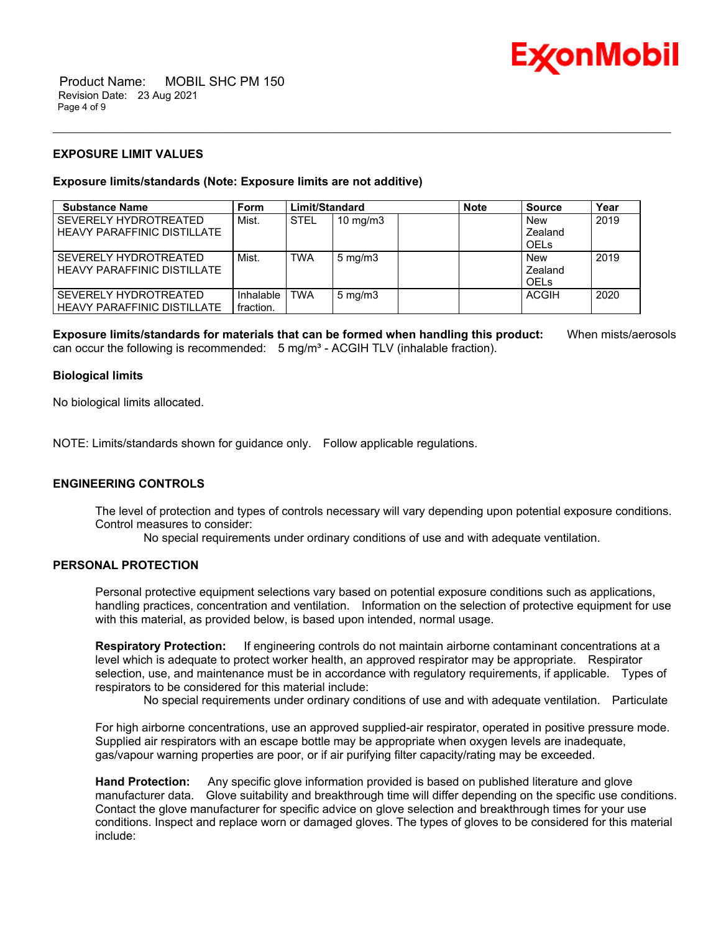

 Product Name: MOBIL SHC PM 150 Revision Date: 23 Aug 2021 Page 4 of 9

# **EXPOSURE LIMIT VALUES**

# **Exposure limits/standards (Note: Exposure limits are not additive)**

| <b>Substance Name</b>                                       | <b>Form</b>            | Limit/Standard |                   | <b>Note</b> | <b>Source</b>                        | Year |
|-------------------------------------------------------------|------------------------|----------------|-------------------|-------------|--------------------------------------|------|
| SEVERELY HYDROTREATED<br>HEAVY PARAFFINIC DISTILLATE        | Mist.                  | <b>STEL</b>    | $10 \text{ mg/m}$ |             | <b>New</b><br>Zealand<br><b>OELS</b> | 2019 |
| SEVERELY HYDROTREATED<br><b>HEAVY PARAFFINIC DISTILLATE</b> | Mist.                  | TWA            | $5 \text{ mg/m}$  |             | New<br>Zealand<br><b>OELS</b>        | 2019 |
| SEVERELY HYDROTREATED<br><b>HEAVY PARAFFINIC DISTILLATE</b> | Inhalable<br>fraction. | TWA            | $5 \text{ mg/m}$  |             | <b>ACGIH</b>                         | 2020 |

\_\_\_\_\_\_\_\_\_\_\_\_\_\_\_\_\_\_\_\_\_\_\_\_\_\_\_\_\_\_\_\_\_\_\_\_\_\_\_\_\_\_\_\_\_\_\_\_\_\_\_\_\_\_\_\_\_\_\_\_\_\_\_\_\_\_\_\_\_\_\_\_\_\_\_\_\_\_\_\_\_\_\_\_\_\_\_\_\_\_\_\_\_\_\_\_\_\_\_\_\_\_\_\_\_\_\_\_\_\_\_\_\_\_\_\_\_\_

**Exposure limits/standards for materials that can be formed when handling this product:** When mists/aerosols can occur the following is recommended:  $5$  mg/m<sup>3</sup> - ACGIH TLV (inhalable fraction).

# **Biological limits**

No biological limits allocated.

NOTE: Limits/standards shown for guidance only. Follow applicable regulations.

# **ENGINEERING CONTROLS**

The level of protection and types of controls necessary will vary depending upon potential exposure conditions. Control measures to consider:

No special requirements under ordinary conditions of use and with adequate ventilation.

# **PERSONAL PROTECTION**

Personal protective equipment selections vary based on potential exposure conditions such as applications, handling practices, concentration and ventilation. Information on the selection of protective equipment for use with this material, as provided below, is based upon intended, normal usage.

**Respiratory Protection:** If engineering controls do not maintain airborne contaminant concentrations at a level which is adequate to protect worker health, an approved respirator may be appropriate. Respirator selection, use, and maintenance must be in accordance with regulatory requirements, if applicable. Types of respirators to be considered for this material include:

No special requirements under ordinary conditions of use and with adequate ventilation. Particulate

For high airborne concentrations, use an approved supplied-air respirator, operated in positive pressure mode. Supplied air respirators with an escape bottle may be appropriate when oxygen levels are inadequate, gas/vapour warning properties are poor, or if air purifying filter capacity/rating may be exceeded.

**Hand Protection:** Any specific glove information provided is based on published literature and glove manufacturer data. Glove suitability and breakthrough time will differ depending on the specific use conditions. Contact the glove manufacturer for specific advice on glove selection and breakthrough times for your use conditions. Inspect and replace worn or damaged gloves. The types of gloves to be considered for this material include: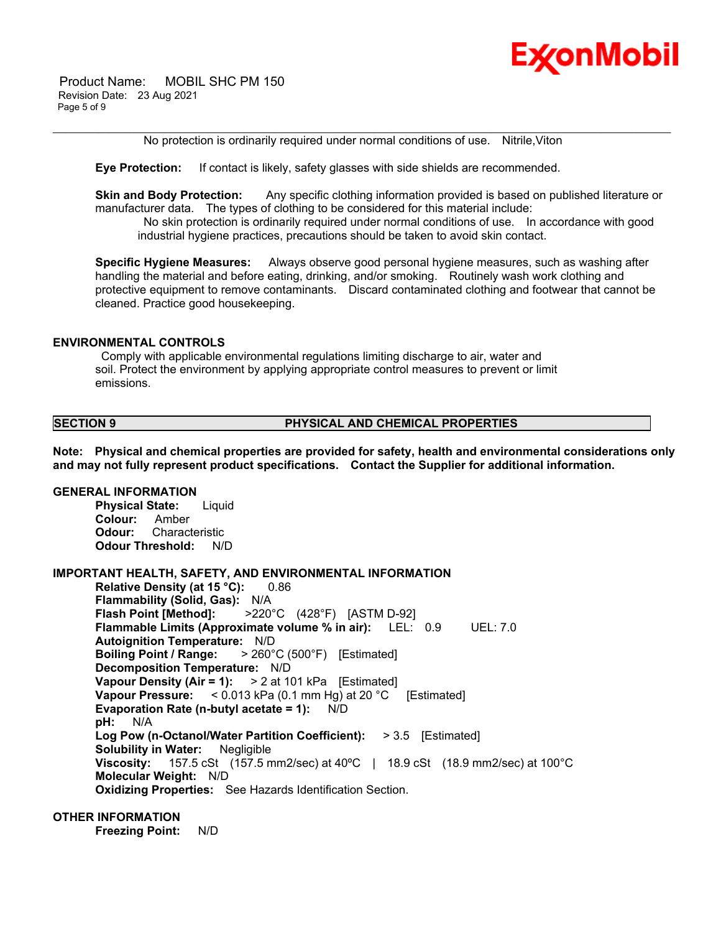

\_\_\_\_\_\_\_\_\_\_\_\_\_\_\_\_\_\_\_\_\_\_\_\_\_\_\_\_\_\_\_\_\_\_\_\_\_\_\_\_\_\_\_\_\_\_\_\_\_\_\_\_\_\_\_\_\_\_\_\_\_\_\_\_\_\_\_\_\_\_\_\_\_\_\_\_\_\_\_\_\_\_\_\_\_\_\_\_\_\_\_\_\_\_\_\_\_\_\_\_\_\_\_\_\_\_\_\_\_\_\_\_\_\_\_\_\_\_ No protection is ordinarily required under normal conditions of use. Nitrile,Viton

**Eye Protection:** If contact is likely, safety glasses with side shields are recommended.

**Skin and Body Protection:** Any specific clothing information provided is based on published literature or manufacturer data. The types of clothing to be considered for this material include:

No skin protection is ordinarily required under normal conditions of use. In accordance with good industrial hygiene practices, precautions should be taken to avoid skin contact.

**Specific Hygiene Measures:** Always observe good personal hygiene measures, such as washing after handling the material and before eating, drinking, and/or smoking. Routinely wash work clothing and protective equipment to remove contaminants. Discard contaminated clothing and footwear that cannot be cleaned. Practice good housekeeping.

# **ENVIRONMENTAL CONTROLS**

Comply with applicable environmental regulations limiting discharge to air, water and soil. Protect the environment by applying appropriate control measures to prevent or limit emissions.

# **SECTION 9 PHYSICAL AND CHEMICAL PROPERTIES**

**Note: Physical and chemical properties are provided for safety, health and environmental considerations only and may not fully represent product specifications. Contact the Supplier for additional information.**

#### **GENERAL INFORMATION**

**Physical State:** Liquid **Colour:** Amber **Odour:** Characteristic **Odour Threshold:** N/D

#### **IMPORTANT HEALTH, SAFETY, AND ENVIRONMENTAL INFORMATION**

**Relative Density (at 15 °C):** 0.86 **Flammability (Solid, Gas):** N/A **Flash Point [Method]:** >220°C (428°F) [ASTM D-92] **Flammable Limits (Approximate volume % in air):** LEL: 0.9 UEL: 7.0 **Autoignition Temperature:** N/D **Boiling Point / Range:** > 260°C (500°F) [Estimated] **Decomposition Temperature:** N/D **Vapour Density (Air = 1):** > 2 at 101 kPa [Estimated] **Vapour Pressure:** < 0.013 kPa (0.1 mm Hg) at 20 °C [Estimated] **Evaporation Rate (n-butyl acetate = 1):** N/D **pH:** N/A **Log Pow (n-Octanol/Water Partition Coefficient):** > 3.5 [Estimated] **Solubility in Water:** Negligible **Viscosity:** 157.5 cSt (157.5 mm2/sec) at 40ºC | 18.9 cSt (18.9 mm2/sec) at 100°C **Molecular Weight:** N/D **Oxidizing Properties:** See Hazards Identification Section.

# **OTHER INFORMATION**

**Freezing Point:** N/D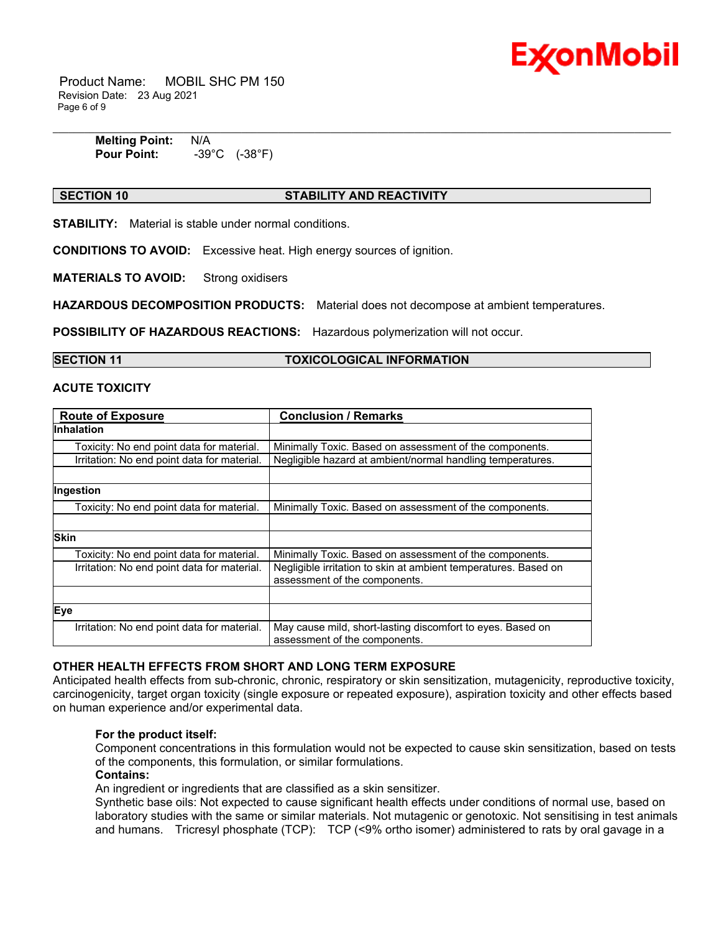

 Product Name: MOBIL SHC PM 150 Revision Date: 23 Aug 2021 Page 6 of 9

| <b>Melting Point:</b> | N/A                        |
|-----------------------|----------------------------|
| <b>Pour Point:</b>    | (-38°F)<br>$-39^{\circ}$ C |

# **SECTION 10 STABILITY AND REACTIVITY**

**STABILITY:** Material is stable under normal conditions.

**CONDITIONS TO AVOID:** Excessive heat. High energy sources of ignition.

**MATERIALS TO AVOID:** Strong oxidisers

**HAZARDOUS DECOMPOSITION PRODUCTS:** Material does not decompose at ambient temperatures.

**POSSIBILITY OF HAZARDOUS REACTIONS:** Hazardous polymerization will not occur.

# **SECTION 11 TOXICOLOGICAL INFORMATION**

# **ACUTE TOXICITY**

| <b>Route of Exposure</b>                    | <b>Conclusion / Remarks</b>                                                                      |  |
|---------------------------------------------|--------------------------------------------------------------------------------------------------|--|
| <b>Inhalation</b>                           |                                                                                                  |  |
| Toxicity: No end point data for material.   | Minimally Toxic. Based on assessment of the components.                                          |  |
| Irritation: No end point data for material. | Negligible hazard at ambient/normal handling temperatures.                                       |  |
|                                             |                                                                                                  |  |
| Ingestion                                   |                                                                                                  |  |
| Toxicity: No end point data for material.   | Minimally Toxic. Based on assessment of the components.                                          |  |
|                                             |                                                                                                  |  |
| <b>Skin</b>                                 |                                                                                                  |  |
| Toxicity: No end point data for material.   | Minimally Toxic. Based on assessment of the components.                                          |  |
| Irritation: No end point data for material. | Negligible irritation to skin at ambient temperatures. Based on<br>assessment of the components. |  |
|                                             |                                                                                                  |  |
| Eye                                         |                                                                                                  |  |
| Irritation: No end point data for material. | May cause mild, short-lasting discomfort to eyes. Based on<br>assessment of the components.      |  |

# **OTHER HEALTH EFFECTS FROM SHORT AND LONG TERM EXPOSURE**

Anticipated health effects from sub-chronic, chronic, respiratory or skin sensitization, mutagenicity, reproductive toxicity, carcinogenicity, target organ toxicity (single exposure or repeated exposure), aspiration toxicity and other effects based on human experience and/or experimental data.

#### **For the product itself:**

Component concentrations in this formulation would not be expected to cause skin sensitization, based on tests of the components, this formulation, or similar formulations.

# **Contains:**

An ingredient or ingredients that are classified as a skin sensitizer.

Synthetic base oils: Not expected to cause significant health effects under conditions of normal use, based on laboratory studies with the same or similar materials. Not mutagenic or genotoxic. Not sensitising in test animals and humans. Tricresyl phosphate (TCP): TCP (<9% ortho isomer) administered to rats by oral gavage in a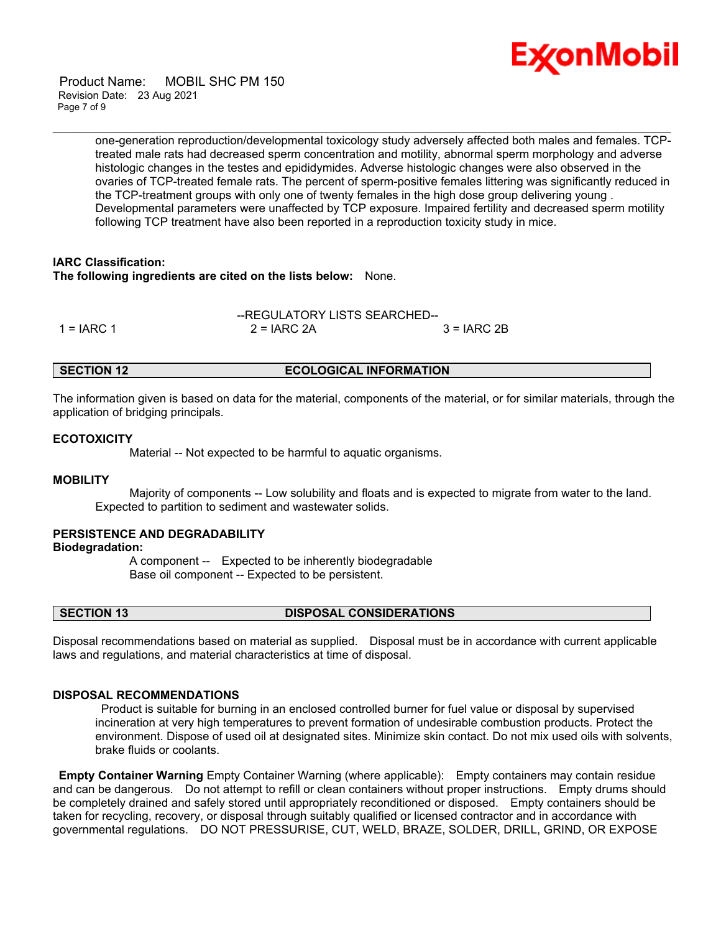

 Product Name: MOBIL SHC PM 150 Revision Date: 23 Aug 2021 Page 7 of 9

> one-generation reproduction/developmental toxicology study adversely affected both males and females. TCPtreated male rats had decreased sperm concentration and motility, abnormal sperm morphology and adverse histologic changes in the testes and epididymides. Adverse histologic changes were also observed in the ovaries of TCP-treated female rats. The percent of sperm-positive females littering was significantly reduced in the TCP-treatment groups with only one of twenty females in the high dose group delivering young . Developmental parameters were unaffected by TCP exposure. Impaired fertility and decreased sperm motility following TCP treatment have also been reported in a reproduction toxicity study in mice.

\_\_\_\_\_\_\_\_\_\_\_\_\_\_\_\_\_\_\_\_\_\_\_\_\_\_\_\_\_\_\_\_\_\_\_\_\_\_\_\_\_\_\_\_\_\_\_\_\_\_\_\_\_\_\_\_\_\_\_\_\_\_\_\_\_\_\_\_\_\_\_\_\_\_\_\_\_\_\_\_\_\_\_\_\_\_\_\_\_\_\_\_\_\_\_\_\_\_\_\_\_\_\_\_\_\_\_\_\_\_\_\_\_\_\_\_\_\_

# **IARC Classification:**

**The following ingredients are cited on the lists below:** None.

|              | --REGULATORY LISTS SEARCHED-- |               |  |
|--------------|-------------------------------|---------------|--|
| $1 = IARC 1$ | $2 = IARC 2A$                 | $3 = IARC 2B$ |  |

# **SECTION 12 ECOLOGICAL INFORMATION**

The information given is based on data for the material, components of the material, or for similar materials, through the application of bridging principals.

# **ECOTOXICITY**

Material -- Not expected to be harmful to aquatic organisms.

# **MOBILITY**

 Majority of components -- Low solubility and floats and is expected to migrate from water to the land. Expected to partition to sediment and wastewater solids.

# **PERSISTENCE AND DEGRADABILITY**

#### **Biodegradation:**

 A component -- Expected to be inherently biodegradable Base oil component -- Expected to be persistent.

**SECTION 13 DISPOSAL CONSIDERATIONS**

Disposal recommendations based on material as supplied. Disposal must be in accordance with current applicable laws and regulations, and material characteristics at time of disposal.

### **DISPOSAL RECOMMENDATIONS**

Product is suitable for burning in an enclosed controlled burner for fuel value or disposal by supervised incineration at very high temperatures to prevent formation of undesirable combustion products. Protect the environment. Dispose of used oil at designated sites. Minimize skin contact. Do not mix used oils with solvents, brake fluids or coolants.

**Empty Container Warning** Empty Container Warning (where applicable): Empty containers may contain residue and can be dangerous. Do not attempt to refill or clean containers without proper instructions. Empty drums should be completely drained and safely stored until appropriately reconditioned or disposed. Empty containers should be taken for recycling, recovery, or disposal through suitably qualified or licensed contractor and in accordance with governmental regulations. DO NOT PRESSURISE, CUT, WELD, BRAZE, SOLDER, DRILL, GRIND, OR EXPOSE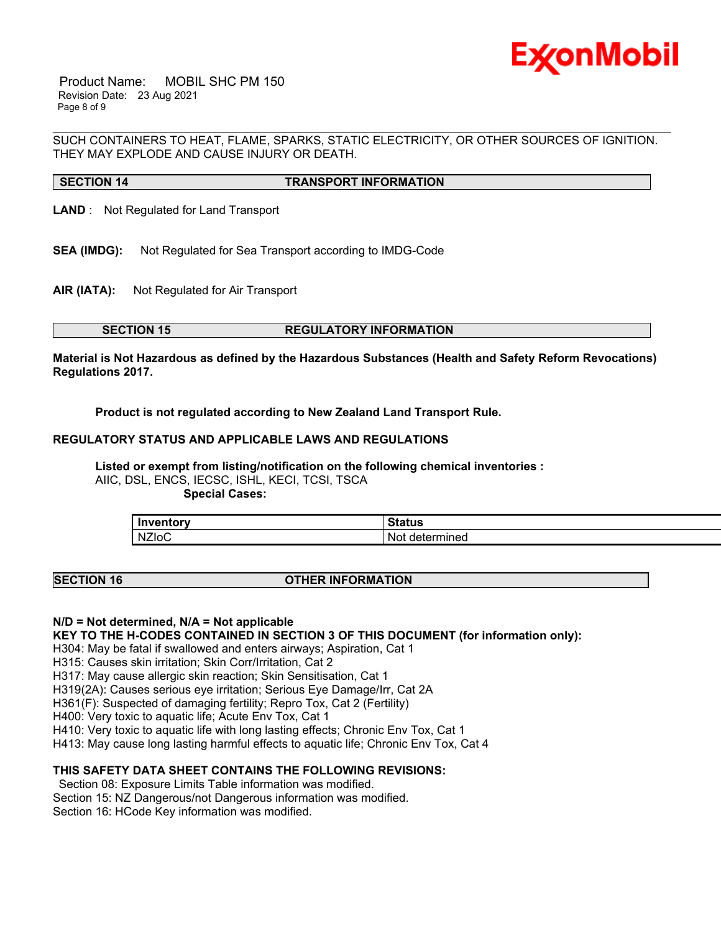

 Product Name: MOBIL SHC PM 150 Revision Date: 23 Aug 2021 Page 8 of 9

\_\_\_\_\_\_\_\_\_\_\_\_\_\_\_\_\_\_\_\_\_\_\_\_\_\_\_\_\_\_\_\_\_\_\_\_\_\_\_\_\_\_\_\_\_\_\_\_\_\_\_\_\_\_\_\_\_\_\_\_\_\_\_\_\_\_\_\_\_\_\_\_\_\_\_\_\_\_\_\_\_\_\_\_\_\_\_\_\_\_\_\_\_\_\_\_\_\_\_\_\_\_\_\_\_\_\_\_\_\_\_\_\_\_\_\_\_\_ SUCH CONTAINERS TO HEAT, FLAME, SPARKS, STATIC ELECTRICITY, OR OTHER SOURCES OF IGNITION. THEY MAY EXPLODE AND CAUSE INJURY OR DEATH.

# **SECTION 14 TRANSPORT INFORMATION**

**LAND** : Not Regulated for Land Transport

- **SEA (IMDG):** Not Regulated for Sea Transport according to IMDG-Code
- **AIR (IATA):** Not Regulated for Air Transport

### **SECTION 15 REGULATORY INFORMATION**

**Material is Not Hazardous as defined by the Hazardous Substances (Health and Safety Reform Revocations) Regulations 2017.**

**Product is not regulated according to New Zealand Land Transport Rule.**

# **REGULATORY STATUS AND APPLICABLE LAWS AND REGULATIONS**

**Listed or exempt from listing/notification on the following chemical inventories :**  AIIC, DSL, ENCS, IECSC, ISHL, KECI, TCSI, TSCA  **Special Cases:**

| .<br>In١          | $\sim$<br>. <u>. .</u><br>ш.          |
|-------------------|---------------------------------------|
| <b>NZIOC</b><br>. | Not<br>--<br>- -<br>aeter<br>milieu - |

### **SECTION 16 OTHER INFORMATION**

# **N/D = Not determined, N/A = Not applicable**

**KEY TO THE H-CODES CONTAINED IN SECTION 3 OF THIS DOCUMENT (for information only):**

H304: May be fatal if swallowed and enters airways; Aspiration, Cat 1

H315: Causes skin irritation; Skin Corr/Irritation, Cat 2

H317: May cause allergic skin reaction; Skin Sensitisation, Cat 1

H319(2A): Causes serious eye irritation; Serious Eye Damage/Irr, Cat 2A

H361(F): Suspected of damaging fertility; Repro Tox, Cat 2 (Fertility)

H400: Very toxic to aquatic life; Acute Env Tox, Cat 1

H410: Very toxic to aquatic life with long lasting effects; Chronic Env Tox, Cat 1

H413: May cause long lasting harmful effects to aquatic life; Chronic Env Tox, Cat 4

# **THIS SAFETY DATA SHEET CONTAINS THE FOLLOWING REVISIONS:**

Section 08: Exposure Limits Table information was modified. Section 15: NZ Dangerous/not Dangerous information was modified. Section 16: HCode Key information was modified.